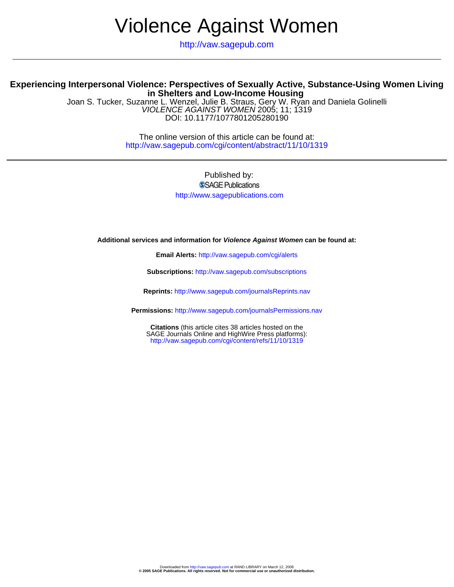# Violence Against Women

http://vaw.sagepub.com

# **in Shelters and Low-Income Housing Experiencing Interpersonal Violence: Perspectives of Sexually Active, Substance-Using Women Living**

DOI: 10.1177/1077801205280190 VIOLENCE AGAINST WOMEN 2005; 11; 1319 Joan S. Tucker, Suzanne L. Wenzel, Julie B. Straus, Gery W. Ryan and Daniela Golinelli

> http://vaw.sagepub.com/cgi/content/abstract/11/10/1319 The online version of this article can be found at:

> > Published by: **SSAGE Publications** http://www.sagepublications.com

**Additional services and information for Violence Against Women can be found at:**

**Email Alerts:** <http://vaw.sagepub.com/cgi/alerts>

**Subscriptions:** <http://vaw.sagepub.com/subscriptions>

**Reprints:** <http://www.sagepub.com/journalsReprints.nav>

**Permissions:** <http://www.sagepub.com/journalsPermissions.nav>

<http://vaw.sagepub.com/cgi/content/refs/11/10/1319> SAGE Journals Online and HighWire Press platforms): **Citations** (this article cites 38 articles hosted on the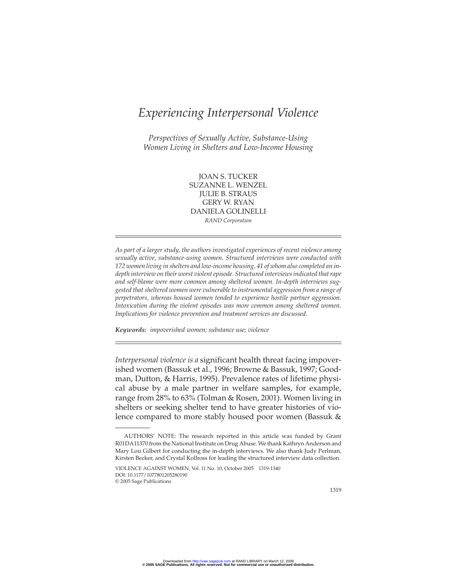# *Experiencing Interpersonal Violence*

*Perspectives of Sexually Active, Substance-Using Women Living in Shelters and Low-Income Housing*

> JOAN S. TUCKER SUZANNE L. WENZEL JULIE B. STRAUS GERY W. RYAN DANIELA GOLINELLI *RAND Corporation*

*As part of a larger study, the authors investigated experiences of recent violence among sexually active, substance-using women. Structured interviews were conducted with 172 women living in shelters and low-income housing, 41 of whom also completed an indepth interview on their worst violent episode. Structured interviews indicated that rape and self-blame were more common among sheltered women. In-depth interviews suggested that sheltered women were vulnerable to instrumental aggression from a range of perpetrators, whereas housed women tended to experience hostile partner aggression. Intoxication during the violent episodes was more common among sheltered women. Implications for violence prevention and treatment services are discussed.*

*Keywords: impoverished women; substance use; violence*

*Interpersonal violence is a* significant health threat facing impoverished women (Bassuk et al., 1996; Browne & Bassuk, 1997; Goodman, Dutton, & Harris, 1995). Prevalence rates of lifetime physical abuse by a male partner in welfare samples, for example, range from 28% to 63% (Tolman & Rosen, 2001). Women living in shelters or seeking shelter tend to have greater histories of violence compared to more stably housed poor women (Bassuk &

AUTHORS' NOTE: The research reported in this article was funded by Grant R01DA11370 from the National Institute on Drug Abuse. We thank Kathryn Anderson and Mary Lou Gilbert for conducting the in-depth interviews. We also thank Judy Perlman, Kirsten Becker, and Crystal Kollross for leading the structured interview data collection.

VIOLENCE AGAINST WOMEN, Vol. 11 No. 10, October 2005 1319-1340 DOI: 10.1177/1077801205280190 © 2005 Sage Publications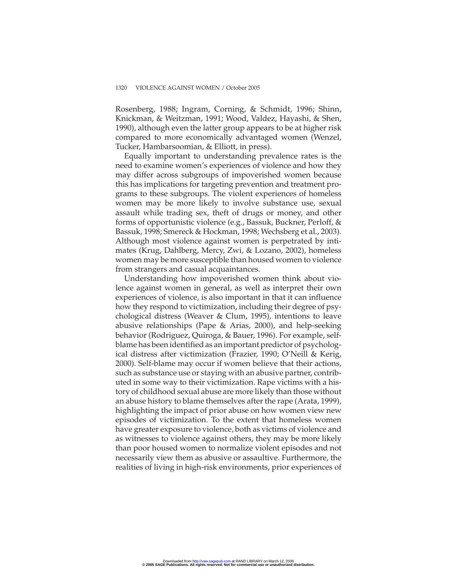Rosenberg, 1988; Ingram, Corning, & Schmidt, 1996; Shinn, Knickman, & Weitzman, 1991; Wood, Valdez, Hayashi, & Shen, 1990), although even the latter group appears to be at higher risk compared to more economically advantaged women (Wenzel, Tucker, Hambarsoomian, & Elliott, in press).

Equally important to understanding prevalence rates is the need to examine women's experiences of violence and how they may differ across subgroups of impoverished women because this has implications for targeting prevention and treatment programs to these subgroups. The violent experiences of homeless women may be more likely to involve substance use, sexual assault while trading sex, theft of drugs or money, and other forms of opportunistic violence (e.g., Bassuk, Buckner, Perloff, & Bassuk, 1998; Smereck & Hockman, 1998; Wechsberg et al., 2003). Although most violence against women is perpetrated by intimates (Krug, Dahlberg, Mercy, Zwi, & Lozano, 2002), homeless women may be more susceptible than housed women to violence from strangers and casual acquaintances.

Understanding how impoverished women think about violence against women in general, as well as interpret their own experiences of violence, is also important in that it can influence how they respond to victimization, including their degree of psychological distress (Weaver & Clum, 1995), intentions to leave abusive relationships (Pape & Arias, 2000), and help-seeking behavior (Rodriguez, Quiroga, & Bauer, 1996). For example, selfblame has been identified as an important predictor of psychological distress after victimization (Frazier, 1990; O'Neill & Kerig, 2000). Self-blame may occur if women believe that their actions, such as substance use or staying with an abusive partner, contributed in some way to their victimization. Rape victims with a history of childhood sexual abuse are more likely than those without an abuse history to blame themselves after the rape (Arata, 1999), highlighting the impact of prior abuse on how women view new episodes of victimization. To the extent that homeless women have greater exposure to violence, both as victims of violence and as witnesses to violence against others, they may be more likely than poor housed women to normalize violent episodes and not necessarily view them as abusive or assaultive. Furthermore, the realities of living in high-risk environments, prior experiences of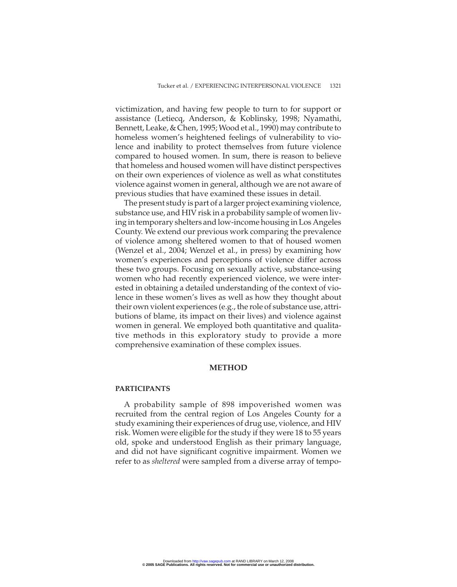victimization, and having few people to turn to for support or assistance (Letiecq, Anderson, & Koblinsky, 1998; Nyamathi, Bennett, Leake, & Chen, 1995; Wood et al., 1990) may contribute to homeless women's heightened feelings of vulnerability to violence and inability to protect themselves from future violence compared to housed women. In sum, there is reason to believe that homeless and housed women will have distinct perspectives on their own experiences of violence as well as what constitutes violence against women in general, although we are not aware of previous studies that have examined these issues in detail.

The present study is part of a larger project examining violence, substance use, and HIV risk in a probability sample of women living in temporary shelters and low-income housing in Los Angeles County. We extend our previous work comparing the prevalence of violence among sheltered women to that of housed women (Wenzel et al., 2004; Wenzel et al., in press) by examining how women's experiences and perceptions of violence differ across these two groups. Focusing on sexually active, substance-using women who had recently experienced violence, we were interested in obtaining a detailed understanding of the context of violence in these women's lives as well as how they thought about their own violent experiences (e.g., the role of substance use, attributions of blame, its impact on their lives) and violence against women in general. We employed both quantitative and qualitative methods in this exploratory study to provide a more comprehensive examination of these complex issues.

#### **METHOD**

### **PARTICIPANTS**

A probability sample of 898 impoverished women was recruited from the central region of Los Angeles County for a study examining their experiences of drug use, violence, and HIV risk. Women were eligible for the study if they were 18 to 55 years old, spoke and understood English as their primary language, and did not have significant cognitive impairment. Women we refer to as *sheltered* were sampled from a diverse array of tempo-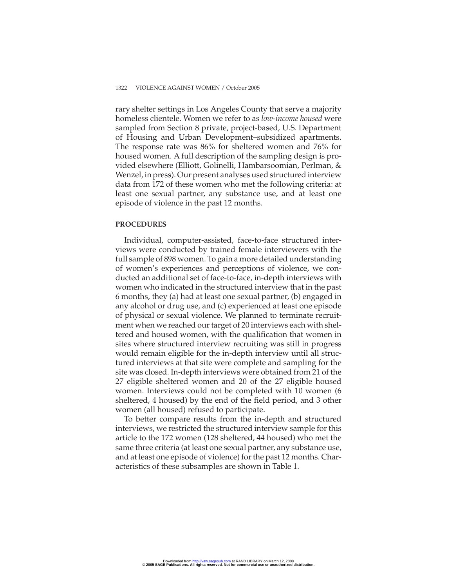rary shelter settings in Los Angeles County that serve a majority homeless clientele. Women we refer to as *low-income housed* were sampled from Section 8 private, project-based, U.S. Department of Housing and Urban Development–subsidized apartments. The response rate was 86% for sheltered women and 76% for housed women. A full description of the sampling design is provided elsewhere (Elliott, Golinelli, Hambarsoomian, Perlman, & Wenzel, in press). Our present analyses used structured interview data from 172 of these women who met the following criteria: at least one sexual partner, any substance use, and at least one episode of violence in the past 12 months.

#### **PROCEDURES**

Individual, computer-assisted, face-to-face structured interviews were conducted by trained female interviewers with the full sample of 898 women. To gain a more detailed understanding of women's experiences and perceptions of violence, we conducted an additional set of face-to-face, in-depth interviews with women who indicated in the structured interview that in the past 6 months, they (a) had at least one sexual partner, (b) engaged in any alcohol or drug use, and (c) experienced at least one episode of physical or sexual violence. We planned to terminate recruitment when we reached our target of 20 interviews each with sheltered and housed women, with the qualification that women in sites where structured interview recruiting was still in progress would remain eligible for the in-depth interview until all structured interviews at that site were complete and sampling for the site was closed. In-depth interviews were obtained from 21 of the 27 eligible sheltered women and 20 of the 27 eligible housed women. Interviews could not be completed with 10 women (6 sheltered, 4 housed) by the end of the field period, and 3 other women (all housed) refused to participate.

To better compare results from the in-depth and structured interviews, we restricted the structured interview sample for this article to the 172 women (128 sheltered, 44 housed) who met the same three criteria (at least one sexual partner, any substance use, and at least one episode of violence) for the past 12 months. Characteristics of these subsamples are shown in Table 1.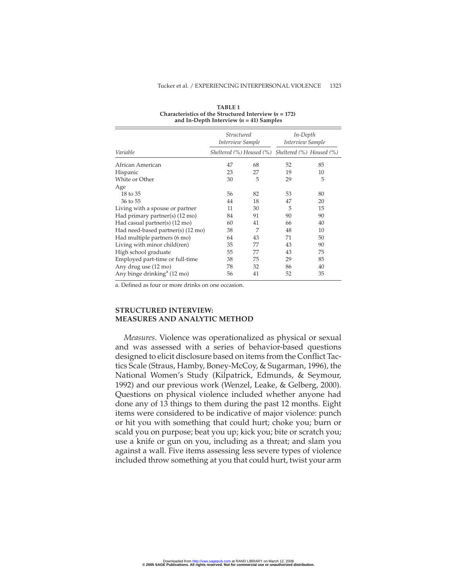| Variable                                | Structured<br>Interview Sample |    | In-Depth<br>Interview Sample |                                                   |  |
|-----------------------------------------|--------------------------------|----|------------------------------|---------------------------------------------------|--|
|                                         |                                |    |                              | Sheltered (%) Housed (%) Sheltered (%) Housed (%) |  |
| African American                        | 47                             | 68 | 52                           | 85                                                |  |
| Hispanic                                | 23                             | 27 | 19                           | 10                                                |  |
| White or Other                          | 30                             | 5  | 29                           | 5                                                 |  |
| Age                                     |                                |    |                              |                                                   |  |
| 18 to 35                                | 56                             | 82 | 53                           | 80                                                |  |
| 36 to 55                                | 44                             | 18 | 47                           | 20                                                |  |
| Living with a spouse or partner         | 11                             | 30 | 5                            | 15                                                |  |
| Had primary partner(s) (12 mo)          | 84                             | 91 | 90                           | 90                                                |  |
| Had casual partner(s) (12 mo)           | 60                             | 41 | 66                           | 40                                                |  |
| Had need-based partner(s) (12 mo)       | 38                             | 7  | 48                           | 10                                                |  |
| Had multiple partners (6 mo)            | 64                             | 43 | 71                           | 50                                                |  |
| Living with minor child(ren)            | 35                             | 77 | 43                           | 90                                                |  |
| High school graduate                    | 55                             | 77 | 43                           | 75                                                |  |
| Employed part-time or full-time         | 38                             | 75 | 29                           | 85                                                |  |
| Any drug use (12 mo)                    | 78                             | 32 | 86                           | 40                                                |  |
| Any binge drinking <sup>a</sup> (12 mo) | 56                             | 41 | 52                           | 35                                                |  |

**TABLE 1 Characteristics of the Structured Interview (***n* **= 172) and In-Depth Interview (***n* **= 41) Samples**

a. Defined as four or more drinks on one occasion.

# **STRUCTURED INTERVIEW: MEASURES AND ANALYTIC METHOD**

*Measures*. Violence was operationalized as physical or sexual and was assessed with a series of behavior-based questions designed to elicit disclosure based on items from the Conflict Tactics Scale (Straus, Hamby, Boney-McCoy, & Sugarman, 1996), the National Women's Study (Kilpatrick, Edmunds, & Seymour, 1992) and our previous work (Wenzel, Leake, & Gelberg, 2000). Questions on physical violence included whether anyone had done any of 13 things to them during the past 12 months. Eight items were considered to be indicative of major violence: punch or hit you with something that could hurt; choke you; burn or scald you on purpose; beat you up; kick you; bite or scratch you; use a knife or gun on you, including as a threat; and slam you against a wall. Five items assessing less severe types of violence included throw something at you that could hurt, twist your arm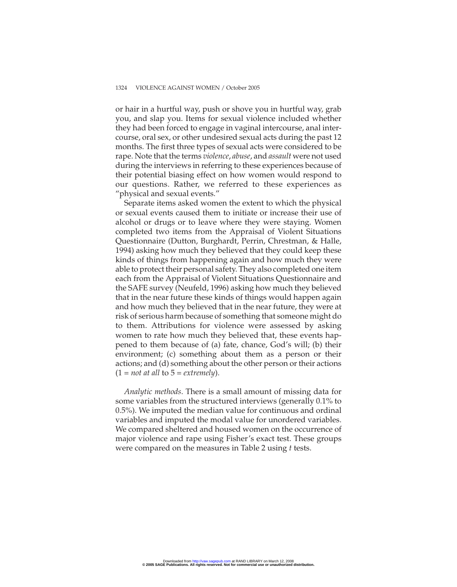#### 1324 VIOLENCE AGAINST WOMEN / October 2005

or hair in a hurtful way, push or shove you in hurtful way, grab you, and slap you. Items for sexual violence included whether they had been forced to engage in vaginal intercourse, anal intercourse, oral sex, or other undesired sexual acts during the past 12 months. The first three types of sexual acts were considered to be rape. Note that the terms *violence*, *abuse*, and *assault* were not used during the interviews in referring to these experiences because of their potential biasing effect on how women would respond to our questions. Rather, we referred to these experiences as "physical and sexual events."

Separate items asked women the extent to which the physical or sexual events caused them to initiate or increase their use of alcohol or drugs or to leave where they were staying. Women completed two items from the Appraisal of Violent Situations Questionnaire (Dutton, Burghardt, Perrin, Chrestman, & Halle, 1994) asking how much they believed that they could keep these kinds of things from happening again and how much they were able to protect their personal safety. They also completed one item each from the Appraisal of Violent Situations Questionnaire and the SAFE survey (Neufeld, 1996) asking how much they believed that in the near future these kinds of things would happen again and how much they believed that in the near future, they were at risk of serious harm because of something that someone might do to them. Attributions for violence were assessed by asking women to rate how much they believed that, these events happened to them because of (a) fate, chance, God's will; (b) their environment; (c) something about them as a person or their actions; and (d) something about the other person or their actions  $(1 = not at all to 5 = extremely).$ 

*Analytic methods*. There is a small amount of missing data for some variables from the structured interviews (generally 0.1% to 0.5%). We imputed the median value for continuous and ordinal variables and imputed the modal value for unordered variables. We compared sheltered and housed women on the occurrence of major violence and rape using Fisher's exact test. These groups were compared on the measures in Table 2 using *t* tests.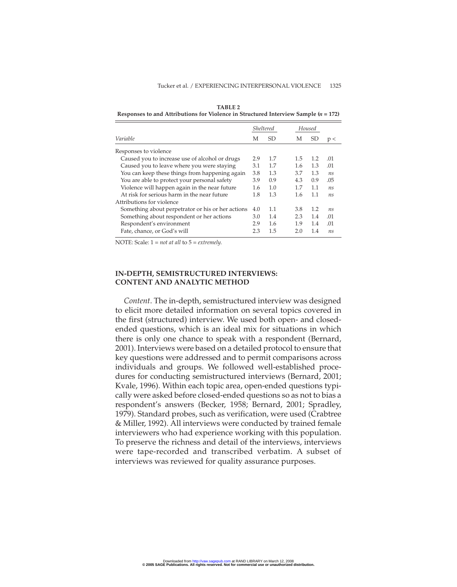| <b>TABLE 2</b>                                                                        |
|---------------------------------------------------------------------------------------|
| Responses to and Attributions for Violence in Structured Interview Sample $(n = 172)$ |

|                                                   |         | <b>Sheltered</b> |     | Housed        |     |
|---------------------------------------------------|---------|------------------|-----|---------------|-----|
| Variable                                          | М       | SD.              | М   | <sub>SD</sub> | p < |
| Responses to violence                             |         |                  |     |               |     |
| Caused you to increase use of alcohol or drugs    | 2.9     | 1.7              | 1.5 | 1.2           | .01 |
| Caused you to leave where you were staying        | 3.1     | 1.7              | 1.6 | 1.3           | .01 |
| You can keep these things from happening again    | 3.8     | 1.3              | 3.7 | 1.3           | ns  |
| You are able to protect your personal safety      | 3.9     | 0.9              | 4.3 | 0.9           | .05 |
| Violence will happen again in the near future     | $1.6\,$ | 1.0              | 1.7 | 1.1           | ns  |
| At risk for serious harm in the near future       | 1.8     | 1.3              | 1.6 | 1.1           | ns  |
| Attributions for violence                         |         |                  |     |               |     |
| Something about perpetrator or his or her actions | 4.0     | 1.1              | 3.8 | 1.2           | ns  |
| Something about respondent or her actions         | 3.0     | 1.4              | 2.3 | 1.4           | .01 |
| Respondent's environment                          | 2.9     | 1.6              | 1.9 | 1.4           | .01 |
| Fate, chance, or God's will                       | 2.3     | 1.5              | 2.0 | 1.4           | ns  |

NOTE: Scale: 1 = *not at all* to 5 = *extremely*.

# **IN-DEPTH, SEMISTRUCTURED INTERVIEWS: CONTENT AND ANALYTIC METHOD**

*Content*. The in-depth, semistructured interview was designed to elicit more detailed information on several topics covered in the first (structured) interview. We used both open- and closedended questions, which is an ideal mix for situations in which there is only one chance to speak with a respondent (Bernard, 2001). Interviews were based on a detailed protocol to ensure that key questions were addressed and to permit comparisons across individuals and groups. We followed well-established procedures for conducting semistructured interviews (Bernard, 2001; Kvale, 1996). Within each topic area, open-ended questions typically were asked before closed-ended questions so as not to bias a respondent's answers (Becker, 1958; Bernard, 2001; Spradley, 1979). Standard probes, such as verification, were used (Crabtree & Miller, 1992). All interviews were conducted by trained female interviewers who had experience working with this population. To preserve the richness and detail of the interviews, interviews were tape-recorded and transcribed verbatim. A subset of interviews was reviewed for quality assurance purposes.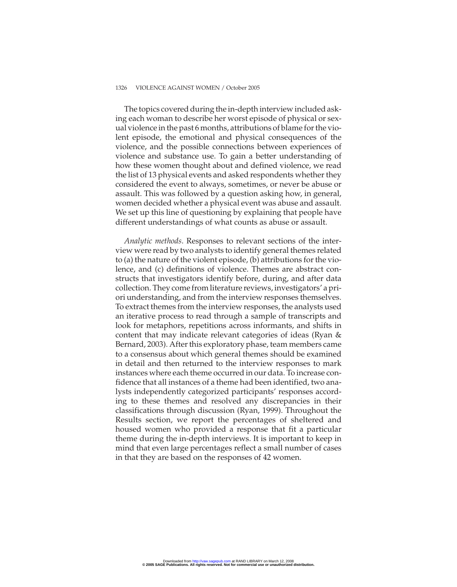#### 1326 VIOLENCE AGAINST WOMEN / October 2005

The topics covered during the in-depth interview included asking each woman to describe her worst episode of physical or sexual violence in the past 6 months, attributions of blame for the violent episode, the emotional and physical consequences of the violence, and the possible connections between experiences of violence and substance use. To gain a better understanding of how these women thought about and defined violence, we read the list of 13 physical events and asked respondents whether they considered the event to always, sometimes, or never be abuse or assault. This was followed by a question asking how, in general, women decided whether a physical event was abuse and assault. We set up this line of questioning by explaining that people have different understandings of what counts as abuse or assault.

*Analytic methods*. Responses to relevant sections of the interview were read by two analysts to identify general themes related to (a) the nature of the violent episode, (b) attributions for the violence, and (c) definitions of violence. Themes are abstract constructs that investigators identify before, during, and after data collection. They come from literature reviews, investigators' a priori understanding, and from the interview responses themselves. To extract themes from the interview responses, the analysts used an iterative process to read through a sample of transcripts and look for metaphors, repetitions across informants, and shifts in content that may indicate relevant categories of ideas (Ryan & Bernard, 2003). After this exploratory phase, team members came to a consensus about which general themes should be examined in detail and then returned to the interview responses to mark instances where each theme occurred in our data. To increase confidence that all instances of a theme had been identified, two analysts independently categorized participants' responses according to these themes and resolved any discrepancies in their classifications through discussion (Ryan, 1999). Throughout the Results section, we report the percentages of sheltered and housed women who provided a response that fit a particular theme during the in-depth interviews. It is important to keep in mind that even large percentages reflect a small number of cases in that they are based on the responses of 42 women.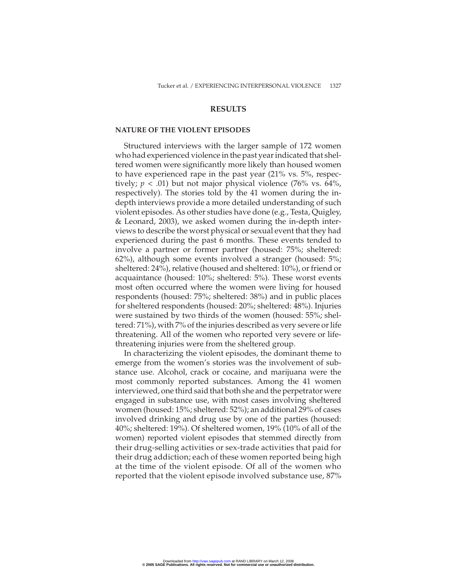#### **RESULTS**

#### **NATURE OF THE VIOLENT EPISODES**

Structured interviews with the larger sample of 172 women who had experienced violence in the past year indicated that sheltered women were significantly more likely than housed women to have experienced rape in the past year (21% vs. 5%, respectively;  $p < .01$ ) but not major physical violence  $(76\% \text{ vs. } 64\%$ , respectively). The stories told by the 41 women during the indepth interviews provide a more detailed understanding of such violent episodes. As other studies have done (e.g., Testa, Quigley, & Leonard, 2003), we asked women during the in-depth interviews to describe the worst physical or sexual event that they had experienced during the past 6 months. These events tended to involve a partner or former partner (housed: 75%; sheltered: 62%), although some events involved a stranger (housed: 5%; sheltered: 24%), relative (housed and sheltered: 10%), or friend or acquaintance (housed: 10%; sheltered: 5%). These worst events most often occurred where the women were living for housed respondents (housed: 75%; sheltered: 38%) and in public places for sheltered respondents (housed: 20%; sheltered: 48%). Injuries were sustained by two thirds of the women (housed: 55%; sheltered: 71%), with 7% of the injuries described as very severe or life threatening. All of the women who reported very severe or lifethreatening injuries were from the sheltered group.

In characterizing the violent episodes, the dominant theme to emerge from the women's stories was the involvement of substance use. Alcohol, crack or cocaine, and marijuana were the most commonly reported substances. Among the 41 women interviewed, one third said that both she and the perpetrator were engaged in substance use, with most cases involving sheltered women (housed: 15%; sheltered: 52%); an additional 29% of cases involved drinking and drug use by one of the parties (housed: 40%; sheltered: 19%). Of sheltered women, 19% (10% of all of the women) reported violent episodes that stemmed directly from their drug-selling activities or sex-trade activities that paid for their drug addiction; each of these women reported being high at the time of the violent episode. Of all of the women who reported that the violent episode involved substance use, 87%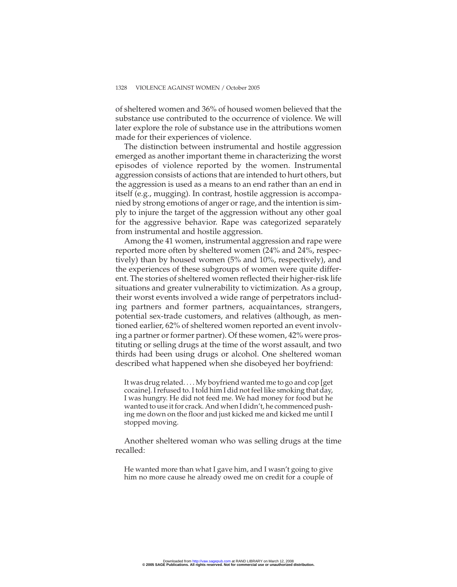of sheltered women and 36% of housed women believed that the substance use contributed to the occurrence of violence. We will later explore the role of substance use in the attributions women made for their experiences of violence.

The distinction between instrumental and hostile aggression emerged as another important theme in characterizing the worst episodes of violence reported by the women. Instrumental aggression consists of actions that are intended to hurt others, but the aggression is used as a means to an end rather than an end in itself (e.g., mugging). In contrast, hostile aggression is accompanied by strong emotions of anger or rage, and the intention is simply to injure the target of the aggression without any other goal for the aggressive behavior. Rape was categorized separately from instrumental and hostile aggression.

Among the 41 women, instrumental aggression and rape were reported more often by sheltered women (24% and 24%, respectively) than by housed women (5% and 10%, respectively), and the experiences of these subgroups of women were quite different. The stories of sheltered women reflected their higher-risk life situations and greater vulnerability to victimization. As a group, their worst events involved a wide range of perpetrators including partners and former partners, acquaintances, strangers, potential sex-trade customers, and relatives (although, as mentioned earlier, 62% of sheltered women reported an event involving a partner or former partner). Of these women, 42% were prostituting or selling drugs at the time of the worst assault, and two thirds had been using drugs or alcohol. One sheltered woman described what happened when she disobeyed her boyfriend:

It was drug related. . . . My boyfriend wanted me to go and cop [get cocaine]. I refused to. I told him I did not feel like smoking that day, I was hungry. He did not feed me. We had money for food but he wanted to use it for crack. And when I didn't, he commenced pushing me down on the floor and just kicked me and kicked me until I stopped moving.

Another sheltered woman who was selling drugs at the time recalled:

He wanted more than what I gave him, and I wasn't going to give him no more cause he already owed me on credit for a couple of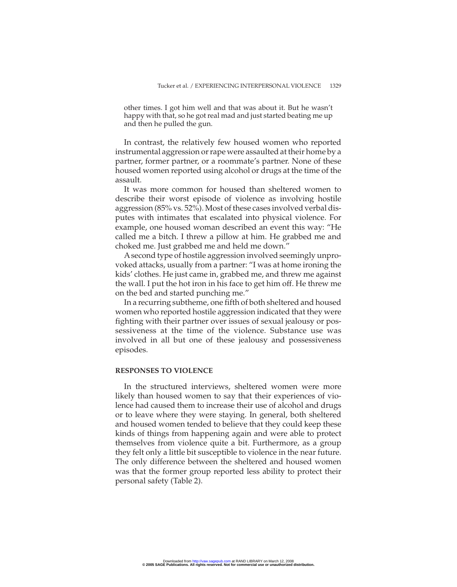other times. I got him well and that was about it. But he wasn't happy with that, so he got real mad and just started beating me up and then he pulled the gun.

In contrast, the relatively few housed women who reported instrumental aggression or rape were assaulted at their home by a partner, former partner, or a roommate's partner. None of these housed women reported using alcohol or drugs at the time of the assault.

It was more common for housed than sheltered women to describe their worst episode of violence as involving hostile aggression (85% vs. 52%). Most of these cases involved verbal disputes with intimates that escalated into physical violence. For example, one housed woman described an event this way: "He called me a bitch. I threw a pillow at him. He grabbed me and choked me. Just grabbed me and held me down."

Asecond type of hostile aggression involved seemingly unprovoked attacks, usually from a partner: "I was at home ironing the kids' clothes. He just came in, grabbed me, and threw me against the wall. I put the hot iron in his face to get him off. He threw me on the bed and started punching me."

In a recurring subtheme, one fifth of both sheltered and housed women who reported hostile aggression indicated that they were fighting with their partner over issues of sexual jealousy or possessiveness at the time of the violence. Substance use was involved in all but one of these jealousy and possessiveness episodes.

# **RESPONSES TO VIOLENCE**

In the structured interviews, sheltered women were more likely than housed women to say that their experiences of violence had caused them to increase their use of alcohol and drugs or to leave where they were staying. In general, both sheltered and housed women tended to believe that they could keep these kinds of things from happening again and were able to protect themselves from violence quite a bit. Furthermore, as a group they felt only a little bit susceptible to violence in the near future. The only difference between the sheltered and housed women was that the former group reported less ability to protect their personal safety (Table 2).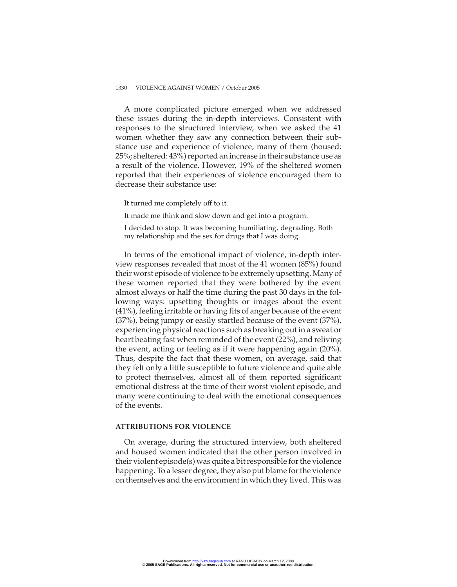#### 1330 VIOLENCE AGAINST WOMEN / October 2005

A more complicated picture emerged when we addressed these issues during the in-depth interviews. Consistent with responses to the structured interview, when we asked the 41 women whether they saw any connection between their substance use and experience of violence, many of them (housed: 25%; sheltered: 43%) reported an increase in their substance use as a result of the violence. However, 19% of the sheltered women reported that their experiences of violence encouraged them to decrease their substance use:

It turned me completely off to it.

It made me think and slow down and get into a program.

I decided to stop. It was becoming humiliating, degrading. Both my relationship and the sex for drugs that I was doing.

In terms of the emotional impact of violence, in-depth interview responses revealed that most of the 41 women (85%) found their worst episode of violence to be extremely upsetting. Many of these women reported that they were bothered by the event almost always or half the time during the past 30 days in the following ways: upsetting thoughts or images about the event (41%), feeling irritable or having fits of anger because of the event (37%), being jumpy or easily startled because of the event (37%), experiencing physical reactions such as breaking out in a sweat or heart beating fast when reminded of the event (22%), and reliving the event, acting or feeling as if it were happening again (20%). Thus, despite the fact that these women, on average, said that they felt only a little susceptible to future violence and quite able to protect themselves, almost all of them reported significant emotional distress at the time of their worst violent episode, and many were continuing to deal with the emotional consequences of the events.

# **ATTRIBUTIONS FOR VIOLENCE**

On average, during the structured interview, both sheltered and housed women indicated that the other person involved in their violent episode(s) was quite a bit responsible for the violence happening. To a lesser degree, they also put blame for the violence on themselves and the environment in which they lived. This was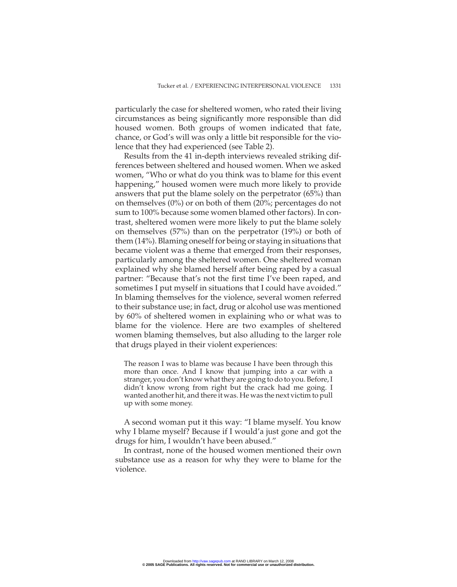particularly the case for sheltered women, who rated their living circumstances as being significantly more responsible than did housed women. Both groups of women indicated that fate, chance, or God's will was only a little bit responsible for the violence that they had experienced (see Table 2).

Results from the 41 in-depth interviews revealed striking differences between sheltered and housed women. When we asked women, "Who or what do you think was to blame for this event happening," housed women were much more likely to provide answers that put the blame solely on the perpetrator (65%) than on themselves (0%) or on both of them (20%; percentages do not sum to 100% because some women blamed other factors). In contrast, sheltered women were more likely to put the blame solely on themselves (57%) than on the perpetrator (19%) or both of them (14%). Blaming oneself for being or staying in situations that became violent was a theme that emerged from their responses, particularly among the sheltered women. One sheltered woman explained why she blamed herself after being raped by a casual partner: "Because that's not the first time I've been raped, and sometimes I put myself in situations that I could have avoided." In blaming themselves for the violence, several women referred to their substance use; in fact, drug or alcohol use was mentioned by 60% of sheltered women in explaining who or what was to blame for the violence. Here are two examples of sheltered women blaming themselves, but also alluding to the larger role that drugs played in their violent experiences:

The reason I was to blame was because I have been through this more than once. And I know that jumping into a car with a stranger, you don't know what they are going to do to you. Before, I didn't know wrong from right but the crack had me going. I wanted another hit, and there it was. He was the next victim to pull up with some money.

A second woman put it this way: "I blame myself. You know why I blame myself? Because if I would'a just gone and got the drugs for him, I wouldn't have been abused."

In contrast, none of the housed women mentioned their own substance use as a reason for why they were to blame for the violence.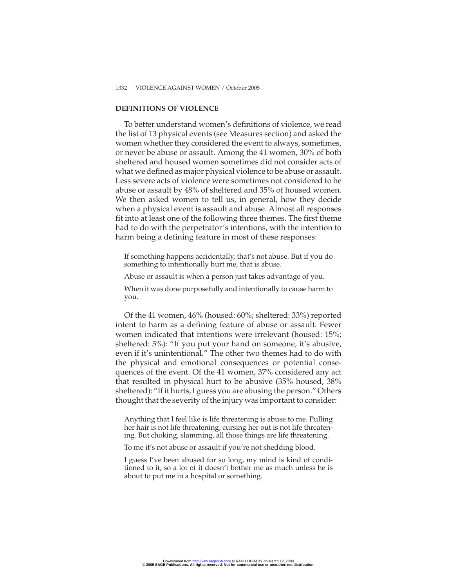#### **DEFINITIONS OF VIOLENCE**

To better understand women's definitions of violence, we read the list of 13 physical events (see Measures section) and asked the women whether they considered the event to always, sometimes, or never be abuse or assault. Among the 41 women, 30% of both sheltered and housed women sometimes did not consider acts of what we defined as major physical violence to be abuse or assault. Less severe acts of violence were sometimes not considered to be abuse or assault by 48% of sheltered and 35% of housed women. We then asked women to tell us, in general, how they decide when a physical event is assault and abuse. Almost all responses fit into at least one of the following three themes. The first theme had to do with the perpetrator's intentions, with the intention to harm being a defining feature in most of these responses:

If something happens accidentally, that's not abuse. But if you do something to intentionally hurt me, that is abuse.

Abuse or assault is when a person just takes advantage of you.

When it was done purposefully and intentionally to cause harm to you.

Of the 41 women, 46% (housed: 60%; sheltered: 33%) reported intent to harm as a defining feature of abuse or assault. Fewer women indicated that intentions were irrelevant (housed: 15%; sheltered: 5%): "If you put your hand on someone, it's abusive, even if it's unintentional." The other two themes had to do with the physical and emotional consequences or potential consequences of the event. Of the 41 women, 37% considered any act that resulted in physical hurt to be abusive (35% housed, 38% sheltered): "If it hurts, I guess you are abusing the person." Others thought that the severity of the injury was important to consider:

Anything that I feel like is life threatening is abuse to me. Pulling her hair is not life threatening, cursing her out is not life threatening. But choking, slamming, all those things are life threatening.

To me it's not abuse or assault if you're not shedding blood.

I guess I've been abused for so long, my mind is kind of conditioned to it, so a lot of it doesn't bother me as much unless he is about to put me in a hospital or something.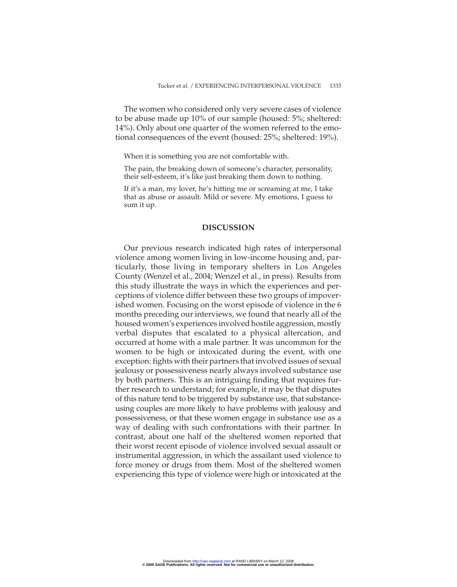The women who considered only very severe cases of violence to be abuse made up 10% of our sample (housed: 5%; sheltered: 14%). Only about one quarter of the women referred to the emotional consequences of the event (housed: 25%; sheltered: 19%).

When it is something you are not comfortable with.

The pain, the breaking down of someone's character, personality, their self-esteem, it's like just breaking them down to nothing.

If it's a man, my lover, he's hitting me or screaming at me, I take that as abuse or assault. Mild or severe. My emotions, I guess to sum it up.

#### **DISCUSSION**

Our previous research indicated high rates of interpersonal violence among women living in low-income housing and, particularly, those living in temporary shelters in Los Angeles County (Wenzel et al., 2004; Wenzel et al., in press). Results from this study illustrate the ways in which the experiences and perceptions of violence differ between these two groups of impoverished women. Focusing on the worst episode of violence in the 6 months preceding our interviews, we found that nearly all of the housed women's experiences involved hostile aggression, mostly verbal disputes that escalated to a physical altercation, and occurred at home with a male partner. It was uncommon for the women to be high or intoxicated during the event, with one exception: fights with their partners that involved issues of sexual jealousy or possessiveness nearly always involved substance use by both partners. This is an intriguing finding that requires further research to understand; for example, it may be that disputes of this nature tend to be triggered by substance use, that substanceusing couples are more likely to have problems with jealousy and possessiveness, or that these women engage in substance use as a way of dealing with such confrontations with their partner. In contrast, about one half of the sheltered women reported that their worst recent episode of violence involved sexual assault or instrumental aggression, in which the assailant used violence to force money or drugs from them. Most of the sheltered women experiencing this type of violence were high or intoxicated at the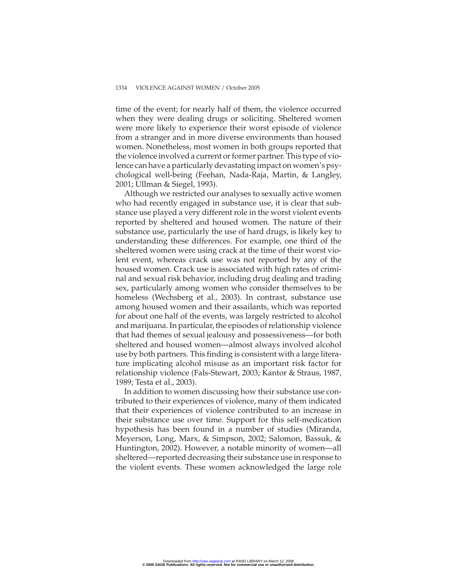time of the event; for nearly half of them, the violence occurred when they were dealing drugs or soliciting. Sheltered women were more likely to experience their worst episode of violence from a stranger and in more diverse environments than housed women. Nonetheless, most women in both groups reported that the violence involved a current or former partner. This type of violence can have a particularly devastating impact on women's psychological well-being (Feehan, Nada-Raja, Martin, & Langley, 2001; Ullman & Siegel, 1993).

Although we restricted our analyses to sexually active women who had recently engaged in substance use, it is clear that substance use played a very different role in the worst violent events reported by sheltered and housed women. The nature of their substance use, particularly the use of hard drugs, is likely key to understanding these differences. For example, one third of the sheltered women were using crack at the time of their worst violent event, whereas crack use was not reported by any of the housed women. Crack use is associated with high rates of criminal and sexual risk behavior, including drug dealing and trading sex, particularly among women who consider themselves to be homeless (Wechsberg et al., 2003). In contrast, substance use among housed women and their assailants, which was reported for about one half of the events, was largely restricted to alcohol and marijuana. In particular, the episodes of relationship violence that had themes of sexual jealousy and possessiveness—for both sheltered and housed women—almost always involved alcohol use by both partners. This finding is consistent with a large literature implicating alcohol misuse as an important risk factor for relationship violence (Fals-Stewart, 2003; Kantor & Straus, 1987, 1989; Testa et al., 2003).

In addition to women discussing how their substance use contributed to their experiences of violence, many of them indicated that their experiences of violence contributed to an increase in their substance use over time. Support for this self-medication hypothesis has been found in a number of studies (Miranda, Meyerson, Long, Marx, & Simpson, 2002; Salomon, Bassuk, & Huntington, 2002). However, a notable minority of women—all sheltered—reported decreasing their substance use in response to the violent events. These women acknowledged the large role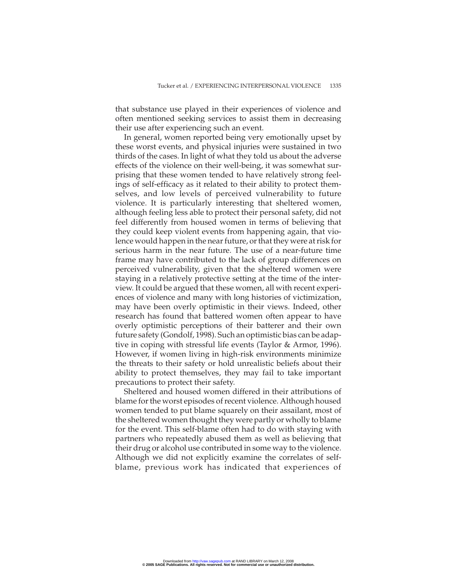that substance use played in their experiences of violence and often mentioned seeking services to assist them in decreasing their use after experiencing such an event.

In general, women reported being very emotionally upset by these worst events, and physical injuries were sustained in two thirds of the cases. In light of what they told us about the adverse effects of the violence on their well-being, it was somewhat surprising that these women tended to have relatively strong feelings of self-efficacy as it related to their ability to protect themselves, and low levels of perceived vulnerability to future violence. It is particularly interesting that sheltered women, although feeling less able to protect their personal safety, did not feel differently from housed women in terms of believing that they could keep violent events from happening again, that violence would happen in the near future, or that they were at risk for serious harm in the near future. The use of a near-future time frame may have contributed to the lack of group differences on perceived vulnerability, given that the sheltered women were staying in a relatively protective setting at the time of the interview. It could be argued that these women, all with recent experiences of violence and many with long histories of victimization, may have been overly optimistic in their views. Indeed, other research has found that battered women often appear to have overly optimistic perceptions of their batterer and their own future safety (Gondolf, 1998). Such an optimistic bias can be adaptive in coping with stressful life events (Taylor & Armor, 1996). However, if women living in high-risk environments minimize the threats to their safety or hold unrealistic beliefs about their ability to protect themselves, they may fail to take important precautions to protect their safety.

Sheltered and housed women differed in their attributions of blame for the worst episodes of recent violence. Although housed women tended to put blame squarely on their assailant, most of the sheltered women thought they were partly or wholly to blame for the event. This self-blame often had to do with staying with partners who repeatedly abused them as well as believing that their drug or alcohol use contributed in some way to the violence. Although we did not explicitly examine the correlates of selfblame, previous work has indicated that experiences of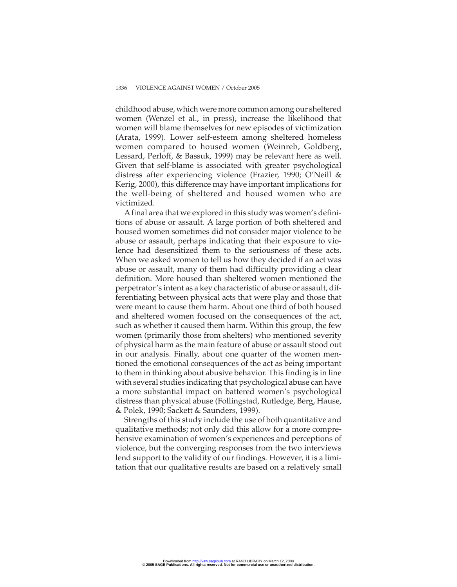childhood abuse, which were more common among our sheltered women (Wenzel et al., in press), increase the likelihood that women will blame themselves for new episodes of victimization (Arata, 1999). Lower self-esteem among sheltered homeless women compared to housed women (Weinreb, Goldberg, Lessard, Perloff, & Bassuk, 1999) may be relevant here as well. Given that self-blame is associated with greater psychological distress after experiencing violence (Frazier, 1990; O'Neill & Kerig, 2000), this difference may have important implications for the well-being of sheltered and housed women who are victimized.

Afinal area that we explored in this study was women's definitions of abuse or assault. A large portion of both sheltered and housed women sometimes did not consider major violence to be abuse or assault, perhaps indicating that their exposure to violence had desensitized them to the seriousness of these acts. When we asked women to tell us how they decided if an act was abuse or assault, many of them had difficulty providing a clear definition. More housed than sheltered women mentioned the perpetrator's intent as a key characteristic of abuse or assault, differentiating between physical acts that were play and those that were meant to cause them harm. About one third of both housed and sheltered women focused on the consequences of the act, such as whether it caused them harm. Within this group, the few women (primarily those from shelters) who mentioned severity of physical harm as the main feature of abuse or assault stood out in our analysis. Finally, about one quarter of the women mentioned the emotional consequences of the act as being important to them in thinking about abusive behavior. This finding is in line with several studies indicating that psychological abuse can have a more substantial impact on battered women's psychological distress than physical abuse (Follingstad, Rutledge, Berg, Hause, & Polek, 1990; Sackett & Saunders, 1999).

Strengths of this study include the use of both quantitative and qualitative methods; not only did this allow for a more comprehensive examination of women's experiences and perceptions of violence, but the converging responses from the two interviews lend support to the validity of our findings. However, it is a limitation that our qualitative results are based on a relatively small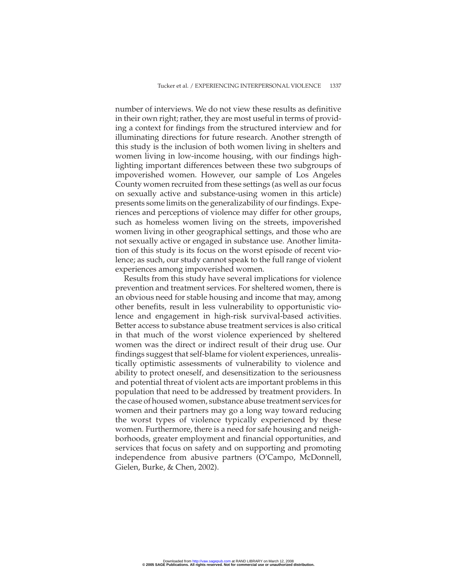number of interviews. We do not view these results as definitive in their own right; rather, they are most useful in terms of providing a context for findings from the structured interview and for illuminating directions for future research. Another strength of this study is the inclusion of both women living in shelters and women living in low-income housing, with our findings highlighting important differences between these two subgroups of impoverished women. However, our sample of Los Angeles County women recruited from these settings (as well as our focus on sexually active and substance-using women in this article) presents some limits on the generalizability of our findings. Experiences and perceptions of violence may differ for other groups, such as homeless women living on the streets, impoverished women living in other geographical settings, and those who are not sexually active or engaged in substance use. Another limitation of this study is its focus on the worst episode of recent violence; as such, our study cannot speak to the full range of violent experiences among impoverished women.

Results from this study have several implications for violence prevention and treatment services. For sheltered women, there is an obvious need for stable housing and income that may, among other benefits, result in less vulnerability to opportunistic violence and engagement in high-risk survival-based activities. Better access to substance abuse treatment services is also critical in that much of the worst violence experienced by sheltered women was the direct or indirect result of their drug use. Our findings suggest that self-blame for violent experiences, unrealistically optimistic assessments of vulnerability to violence and ability to protect oneself, and desensitization to the seriousness and potential threat of violent acts are important problems in this population that need to be addressed by treatment providers. In the case of housed women, substance abuse treatment services for women and their partners may go a long way toward reducing the worst types of violence typically experienced by these women. Furthermore, there is a need for safe housing and neighborhoods, greater employment and financial opportunities, and services that focus on safety and on supporting and promoting independence from abusive partners (O'Campo, McDonnell, Gielen, Burke, & Chen, 2002).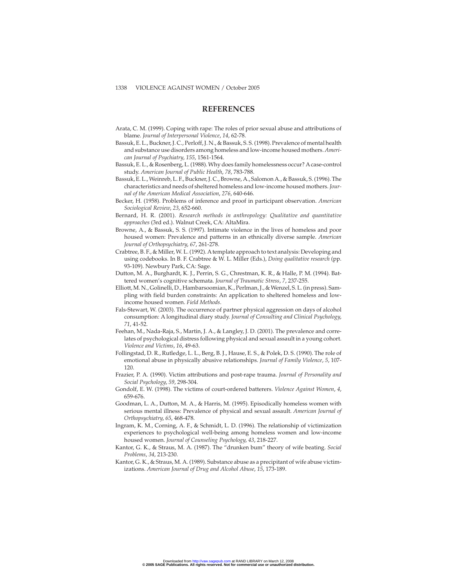#### **REFERENCES**

- Arata, C. M. (1999). Coping with rape: The roles of prior sexual abuse and attributions of blame. *Journal of Interpersonal Violence*, *14*, 62-78.
- Bassuk, E. L., Buckner, J. C., Perloff, J. N., & Bassuk, S. S. (1998). Prevalence of mental health and substance use disorders among homeless and low-income housed mothers. *American Journal of Psychiatry*, *155*, 1561-1564.
- Bassuk, E. L., & Rosenberg, L. (1988). Why does family homelessness occur? Acase-control study. *American Journal of Public Health*, *78*, 783-788.
- Bassuk, E. L., Weinreb, L. F., Buckner, J. C., Browne, A., Salomon A., & Bassuk, S. (1996). The characteristics and needs of sheltered homeless and low-income housed mothers. *Journal of the American Medical Association*, *276*, 640-646.
- Becker, H. (1958). Problems of inference and proof in participant observation. *American Sociological Review*, *23*, 652-660.
- Bernard, H. R. (2001). *Research methods in anthropology: Qualitative and quantitative approaches* (3rd ed.). Walnut Creek, CA: AltaMira.
- Browne, A., & Bassuk, S. S. (1997). Intimate violence in the lives of homeless and poor housed women: Prevalence and patterns in an ethnically diverse sample. *American Journal of Orthopsychiatry*, *67*, 261-278.
- Crabtree, B. F., & Miller, W. L. (1992). Atemplate approach to text analysis: Developing and using codebooks. In B. F. Crabtree & W. L. Miller (Eds.), *Doing qualitative research* (pp. 93-109). Newbury Park, CA: Sage.
- Dutton, M. A., Burghardt, K. J., Perrin, S. G., Chrestman, K. R., & Halle, P. M. (1994). Battered women's cognitive schemata. *Journal of Traumatic Stress*, *7*, 237-255.
- Elliott, M. N., Golinelli, D., Hambarsoomian, K., Perlman, J., & Wenzel, S. L. (in press). Sampling with field burden constraints: An application to sheltered homeless and lowincome housed women. *Field Methods*.
- Fals-Stewart, W. (2003). The occurrence of partner physical aggression on days of alcohol consumption: A longitudinal diary study. *Journal of Consulting and Clinical Psychology*, *71*, 41-52.
- Feehan, M., Nada-Raja, S., Martin, J. A., & Langley, J. D. (2001). The prevalence and correlates of psychological distress following physical and sexual assault in a young cohort. *Violence and Victims*, *16*, 49-63.
- Follingstad, D. R., Rutledge, L. L., Berg, B. J., Hause, E. S., & Polek, D. S. (1990). The role of emotional abuse in physically abusive relationships. *Journal of Family Violence*, *5*, 107- 120.
- Frazier, P. A. (1990). Victim attributions and post-rape trauma. *Journal of Personality and Social Psychology*, *59*, 298-304.
- Gondolf, E. W. (1998). The victims of court-ordered batterers. *Violence Against Women*, *4*, 659-676.
- Goodman, L. A., Dutton, M. A., & Harris, M. (1995). Episodically homeless women with serious mental illness: Prevalence of physical and sexual assault. *American Journal of Orthopsychiatry*, *65*, 468-478.
- Ingram, K. M., Corning, A. F., & Schmidt, L. D. (1996). The relationship of victimization experiences to psychological well-being among homeless women and low-income housed women. *Journal of Counseling Psychology*, *43*, 218-227.
- Kantor, G. K., & Straus, M. A. (1987). The "drunken bum" theory of wife beating. *Social Problems*, *34*, 213-230.
- Kantor, G. K., & Straus, M. A. (1989). Substance abuse as a precipitant of wife abuse victimizations. *American Journal of Drug and Alcohol Abuse*, *15*, 173-189.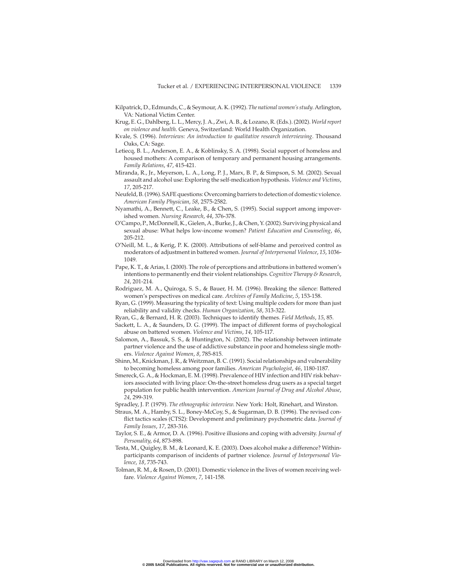- Kilpatrick, D., Edmunds, C., & Seymour, A. K. (1992).*The national women's study*. Arlington, VA: National Victim Center.
- Krug, E. G., Dahlberg, L. L., Mercy, J. A., Zwi, A. B., & Lozano, R. (Eds.). (2002).*World report on violence and health*. Geneva, Switzerland: World Health Organization.
- Kvale, S. (1996). *Interviews: An introduction to qualitative research interviewing*. Thousand Oaks, CA: Sage.
- Letiecq, B. L., Anderson, E. A., & Koblinsky, S. A. (1998). Social support of homeless and housed mothers: A comparison of temporary and permanent housing arrangements. *Family Relations*, *47*, 415-421.
- Miranda, R., Jr., Meyerson, L. A., Long, P. J., Marx, B. P., & Simpson, S. M. (2002). Sexual assault and alcohol use: Exploring the self-medication hypothesis. *Violence and Victims*, *17*, 205-217.
- Neufeld, B. (1996). SAFE questions: Overcoming barriers to detection of domestic violence. *American Family Physician*, *58*, 2575-2582.
- Nyamathi, A., Bennett, C., Leake, B., & Chen, S. (1995). Social support among impoverished women. *Nursing Research*, *44*, 376-378.
- O'Campo, P., McDonnell, K., Gielen, A., Burke, J., & Chen, Y. (2002). Surviving physical and sexual abuse: What helps low-income women? *Patient Education and Counseling*, *46*, 205-212.
- O'Neill, M. L., & Kerig, P. K. (2000). Attributions of self-blame and perceived control as moderators of adjustment in battered women. *Journal of Interpersonal Violence*, *15*, 1036- 1049.
- Pape, K. T., & Arias, I. (2000). The role of perceptions and attributions in battered women's intentions to permanently end their violent relationships. *Cognitive Therapy & Research*, *24*, 201-214.
- Rodriguez, M. A., Quiroga, S. S., & Bauer, H. M. (1996). Breaking the silence: Battered women's perspectives on medical care. *Archives of Family Medicine*, *5*, 153-158.
- Ryan, G. (1999). Measuring the typicality of text: Using multiple coders for more than just reliability and validity checks. *Human Organization*, *58*, 313-322.
- Ryan, G., & Bernard, H. R. (2003). Techniques to identify themes. *Field Methods*, *15*, 85.
- Sackett, L. A., & Saunders, D. G. (1999). The impact of different forms of psychological abuse on battered women. *Violence and Victims*, *14*, 105-117.
- Salomon, A., Bassuk, S. S., & Huntington, N. (2002). The relationship between intimate partner violence and the use of addictive substance in poor and homeless single mothers. *Violence Against Women*, *8*, 785-815.
- Shinn, M., Knickman, J. R., & Weitzman, B. C. (1991). Social relationships and vulnerability to becoming homeless among poor families. *American Psychologist*, *46*, 1180-1187.
- Smereck, G. A., & Hockman, E. M. (1998). Prevalence of HIV infection and HIV risk behaviors associated with living place: On-the-street homeless drug users as a special target population for public health intervention. *American Journal of Drug and Alcohol Abuse*, *24*, 299-319.
- Spradley, J. P. (1979). *The ethnographic interview*. New York: Holt, Rinehart, and Winston.
- Straus, M. A., Hamby, S. L., Boney-McCoy, S., & Sugarman, D. B. (1996). The revised conflict tactics scales (CTS2): Development and preliminary psychometric data. *Journal of Family Issues*, *17*, 283-316.
- Taylor, S. E., & Armor, D. A. (1996). Positive illusions and coping with adversity. *Journal of Personality*, *64*, 873-898.
- Testa, M., Quigley, B. M., & Leonard, K. E. (2003). Does alcohol make a difference? Withinparticipants comparison of incidents of partner violence. *Journal of Interpersonal Violence*, *18*, 735-743.
- Tolman, R. M., & Rosen, D. (2001). Domestic violence in the lives of women receiving welfare. *Violence Against Women*, *7*, 141-158.